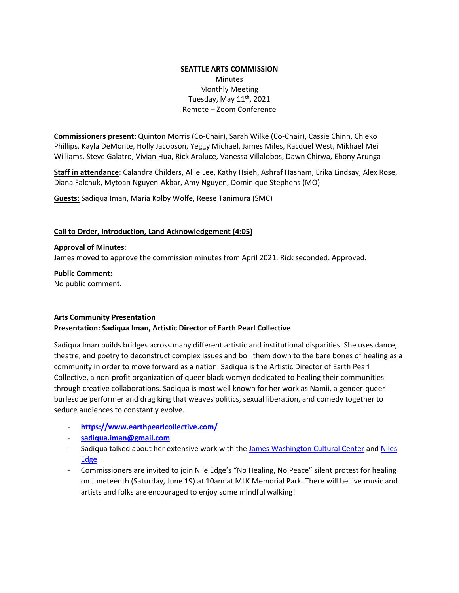### **SEATTLE ARTS COMMISSION**  Minutes Monthly Meeting Tuesday, May  $11^{th}$ , 2021 Remote – Zoom Conference

**Commissioners present:** Quinton Morris (Co-Chair), Sarah Wilke (Co-Chair), Cassie Chinn, Chieko Phillips, Kayla DeMonte, Holly Jacobson, Yeggy Michael, James Miles, Racquel West, Mikhael Mei Williams, Steve Galatro, Vivian Hua, Rick Araluce, Vanessa Villalobos, Dawn Chirwa, Ebony Arunga

**Staff in attendance**: Calandra Childers, Allie Lee, Kathy Hsieh, Ashraf Hasham, Erika Lindsay, Alex Rose, Diana Falchuk, Mytoan Nguyen-Akbar, Amy Nguyen, Dominique Stephens (MO)

**Guests:** Sadiqua Iman, Maria Kolby Wolfe, Reese Tanimura (SMC)

#### **Call to Order, Introduction, Land Acknowledgement (4:05)**

## **Approval of Minutes**:

James moved to approve the commission minutes from April 2021. Rick seconded. Approved.

**Public Comment:** No public comment.

#### **Arts Community Presentation**

#### **Presentation: Sadiqua Iman, Artistic Director of Earth Pearl Collective**

Sadiqua Iman builds bridges across many different artistic and institutional disparities. She uses dance, theatre, and poetry to deconstruct complex issues and boil them down to the bare bones of healing as a community in order to move forward as a nation. Sadiqua is the Artistic Director of Earth Pearl Collective, a non-profit organization of queer black womyn dedicated to healing their communities through creative collaborations. Sadiqua is most well known for her work as Namii, a gender-queer burlesque performer and drag king that weaves politics, sexual liberation, and comedy together to seduce audiences to constantly evolve.

- **<https://www.earthpearlcollective.com/>**
- **[sadiqua.iman@gmail.com](mailto:sadiqua.iman@gmail.com)**
- Sadiqua talked about her extensive work with the [James Washington Cultural Center](https://jameswashingtonculturalcenter.org/) and Niles [Edge](https://www.nilesedge.com/)
- Commissioners are invited to join Nile Edge's "No Healing, No Peace" silent protest for healing on Juneteenth (Saturday, June 19) at 10am at MLK Memorial Park. There will be live music and artists and folks are encouraged to enjoy some mindful walking!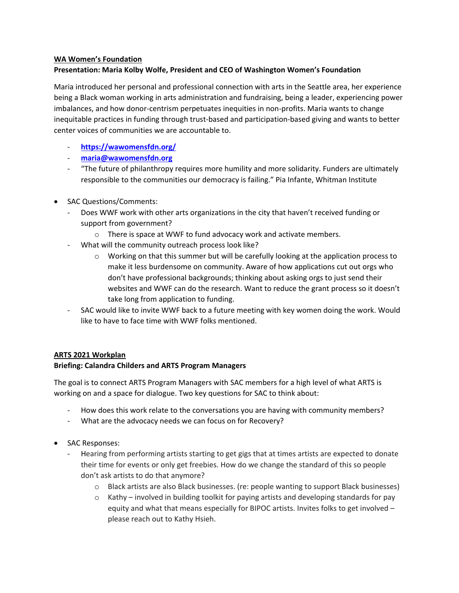#### **WA Women's Foundation Presentation: Maria Kolby Wolfe, President and CEO of Washington Women's Foundation**

Maria introduced her personal and professional connection with arts in the Seattle area, her experience being a Black woman working in arts administration and fundraising, being a leader, experiencing power imbalances, and how donor-centrism perpetuates inequities in non-profits. Maria wants to change inequitable practices in funding through trust-based and participation-based giving and wants to better center voices of communities we are accountable to.

- **<https://wawomensfdn.org/>**
- **[maria@wawomensfdn.org](mailto:maria@wawomensfdn.org)**
- "The future of philanthropy requires more humility and more solidarity. Funders are ultimately responsible to the communities our democracy is failing." Pia Infante, Whitman Institute
- SAC Questions/Comments:
	- Does WWF work with other arts organizations in the city that haven't received funding or support from government?
		- o There is space at WWF to fund advocacy work and activate members.
	- What will the community outreach process look like?
		- $\circ$  Working on that this summer but will be carefully looking at the application process to make it less burdensome on community. Aware of how applications cut out orgs who don't have professional backgrounds; thinking about asking orgs to just send their websites and WWF can do the research. Want to reduce the grant process so it doesn't take long from application to funding.
	- SAC would like to invite WWF back to a future meeting with key women doing the work. Would like to have to face time with WWF folks mentioned.

# **ARTS 2021 Workplan**

# **Briefing: Calandra Childers and ARTS Program Managers**

The goal is to connect ARTS Program Managers with SAC members for a high level of what ARTS is working on and a space for dialogue. Two key questions for SAC to think about:

- How does this work relate to the conversations you are having with community members?
- What are the advocacy needs we can focus on for Recovery?
- SAC Responses:
	- Hearing from performing artists starting to get gigs that at times artists are expected to donate their time for events or only get freebies. How do we change the standard of this so people don't ask artists to do that anymore?
		- o Black artists are also Black businesses. (re: people wanting to support Black businesses)
		- $\circ$  Kathy involved in building toolkit for paying artists and developing standards for pay equity and what that means especially for BIPOC artists. Invites folks to get involved – please reach out to Kathy Hsieh.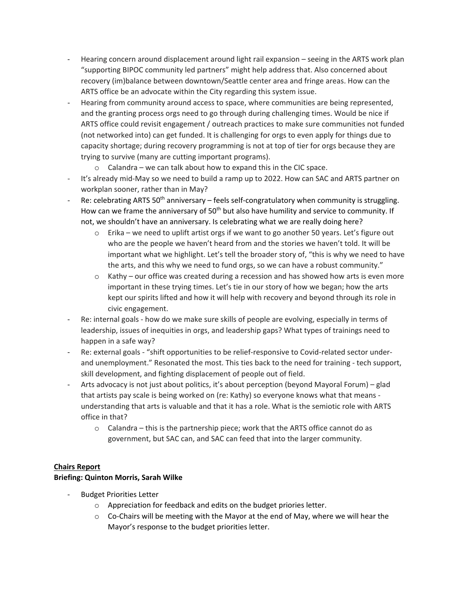- Hearing concern around displacement around light rail expansion seeing in the ARTS work plan "supporting BIPOC community led partners" might help address that. Also concerned about recovery (im)balance between downtown/Seattle center area and fringe areas. How can the ARTS office be an advocate within the City regarding this system issue.
- Hearing from community around access to space, where communities are being represented, and the granting process orgs need to go through during challenging times. Would be nice if ARTS office could revisit engagement / outreach practices to make sure communities not funded (not networked into) can get funded. It is challenging for orgs to even apply for things due to capacity shortage; during recovery programming is not at top of tier for orgs because they are trying to survive (many are cutting important programs).
	- $\circ$  Calandra we can talk about how to expand this in the CIC space.
- It's already mid-May so we need to build a ramp up to 2022. How can SAC and ARTS partner on workplan sooner, rather than in May?
- Re: celebrating ARTS 50<sup>th</sup> anniversary feels self-congratulatory when community is struggling. How can we frame the anniversary of 50<sup>th</sup> but also have humility and service to community. If not, we shouldn't have an anniversary. Is celebrating what we are really doing here?
	- $\circ$  Erika we need to uplift artist orgs if we want to go another 50 years. Let's figure out who are the people we haven't heard from and the stories we haven't told. It will be important what we highlight. Let's tell the broader story of, "this is why we need to have the arts, and this why we need to fund orgs, so we can have a robust community."
	- $\circ$  Kathy our office was created during a recession and has showed how arts is even more important in these trying times. Let's tie in our story of how we began; how the arts kept our spirits lifted and how it will help with recovery and beyond through its role in civic engagement.
- Re: internal goals how do we make sure skills of people are evolving, especially in terms of leadership, issues of inequities in orgs, and leadership gaps? What types of trainings need to happen in a safe way?
- Re: external goals "shift opportunities to be relief-responsive to Covid-related sector underand unemployment." Resonated the most. This ties back to the need for training - tech support, skill development, and fighting displacement of people out of field.
- Arts advocacy is not just about politics, it's about perception (beyond Mayoral Forum) glad that artists pay scale is being worked on (re: Kathy) so everyone knows what that means understanding that arts is valuable and that it has a role. What is the semiotic role with ARTS office in that?
	- o Calandra this is the partnership piece; work that the ARTS office cannot do as government, but SAC can, and SAC can feed that into the larger community.

## **Chairs Report**

## **Briefing: Quinton Morris, Sarah Wilke**

- **Budget Priorities Letter** 
	- o Appreciation for feedback and edits on the budget priories letter.
	- $\circ$  Co-Chairs will be meeting with the Mayor at the end of May, where we will hear the Mayor's response to the budget priorities letter.